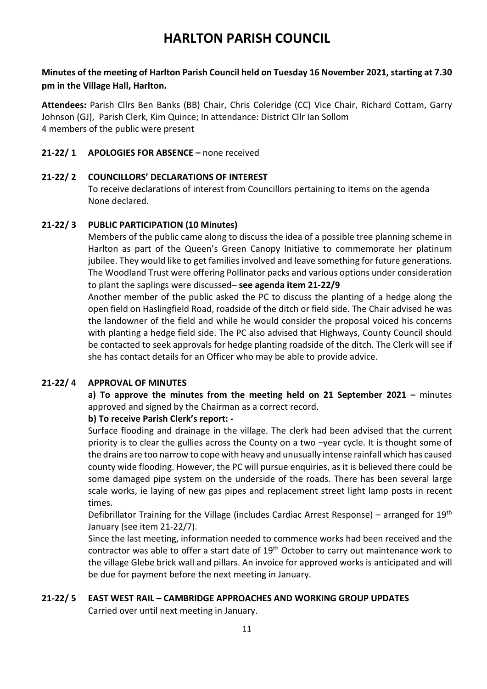## **HARLTON PARISH COUNCIL**

### **Minutes of the meeting of Harlton Parish Council held on Tuesday 16 November 2021, starting at 7.30 pm in the Village Hall, Harlton.**

**Attendees:** Parish Cllrs Ben Banks (BB) Chair, Chris Coleridge (CC) Vice Chair, Richard Cottam, Garry Johnson (GJ), Parish Clerk, Kim Quince; In attendance: District Cllr Ian Sollom 4 members of the public were present

### **21-22/ 1 APOLOGIES FOR ABSENCE –** none received

### **21-22/ 2 COUNCILLORS' DECLARATIONS OF INTEREST**

To receive declarations of interest from Councillors pertaining to items on the agenda None declared.

### **21-22/ 3 PUBLIC PARTICIPATION (10 Minutes)**

Members of the public came along to discuss the idea of a possible tree planning scheme in Harlton as part of the Queen's Green Canopy Initiative to commemorate her platinum jubilee. They would like to get families involved and leave something for future generations. The Woodland Trust were offering Pollinator packs and various options under consideration to plant the saplings were discussed– **see agenda item 21-22/9**

Another member of the public asked the PC to discuss the planting of a hedge along the open field on Haslingfield Road, roadside of the ditch or field side. The Chair advised he was the landowner of the field and while he would consider the proposal voiced his concerns with planting a hedge field side. The PC also advised that Highways, County Council should be contacted to seek approvals for hedge planting roadside of the ditch. The Clerk will see if she has contact details for an Officer who may be able to provide advice.

### **21-22/ 4 APPROVAL OF MINUTES**

**a) To approve the minutes from the meeting held on 21 September 2021 –** minutes approved and signed by the Chairman as a correct record.

### **b) To receive Parish Clerk's report: -**

Surface flooding and drainage in the village. The clerk had been advised that the current priority is to clear the gullies across the County on a two –year cycle. It is thought some of the drains are too narrow to cope with heavy and unusually intense rainfall which has caused county wide flooding. However, the PC will pursue enquiries, as it is believed there could be some damaged pipe system on the underside of the roads. There has been several large scale works, ie laying of new gas pipes and replacement street light lamp posts in recent times.

Defibrillator Training for the Village (includes Cardiac Arrest Response) – arranged for  $19<sup>th</sup>$ January (see item 21-22/7).

Since the last meeting, information needed to commence works had been received and the contractor was able to offer a start date of 19<sup>th</sup> October to carry out maintenance work to the village Glebe brick wall and pillars. An invoice for approved works is anticipated and will be due for payment before the next meeting in January.

### **21-22/ 5 EAST WEST RAIL – CAMBRIDGE APPROACHES AND WORKING GROUP UPDATES**

Carried over until next meeting in January.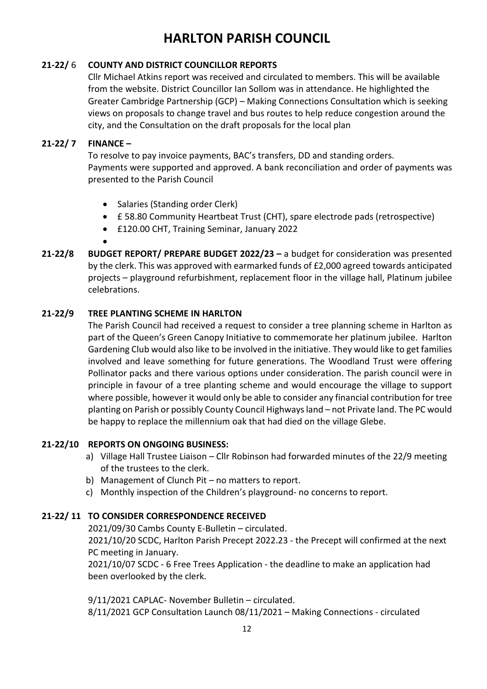# **HARLTON PARISH COUNCIL**

### **21-22/** 6 **COUNTY AND DISTRICT COUNCILLOR REPORTS**

Cllr Michael Atkins report was received and circulated to members. This will be available from the website. District Councillor Ian Sollom was in attendance. He highlighted the Greater Cambridge Partnership (GCP) – Making Connections Consultation which is seeking views on proposals to change travel and bus routes to help reduce congestion around the city, and the Consultation on the draft proposals for the local plan

### **21-22/ 7 FINANCE –**

To resolve to pay invoice payments, BAC's transfers, DD and standing orders. Payments were supported and approved. A bank reconciliation and order of payments was presented to the Parish Council

- Salaries (Standing order Clerk)
- £ 58.80 Community Heartbeat Trust (CHT), spare electrode pads (retrospective)
- £120.00 CHT, Training Seminar, January 2022
- •
- **21-22/8 BUDGET REPORT/ PREPARE BUDGET 2022/23 –** a budget for consideration was presented by the clerk. This was approved with earmarked funds of £2,000 agreed towards anticipated projects – playground refurbishment, replacement floor in the village hall, Platinum jubilee celebrations.

### **21-22/9 TREE PLANTING SCHEME IN HARLTON**

The Parish Council had received a request to consider a tree planning scheme in Harlton as part of the Queen's Green Canopy Initiative to commemorate her platinum jubilee. Harlton Gardening Club would also like to be involved in the initiative. They would like to get families involved and leave something for future generations. The Woodland Trust were offering Pollinator packs and there various options under consideration. The parish council were in principle in favour of a tree planting scheme and would encourage the village to support where possible, however it would only be able to consider any financial contribution for tree planting on Parish or possibly County Council Highways land – not Private land. The PC would be happy to replace the millennium oak that had died on the village Glebe.

### **21-22/10 REPORTS ON ONGOING BUSINESS:**

- a) Village Hall Trustee Liaison Cllr Robinson had forwarded minutes of the 22/9 meeting of the trustees to the clerk.
- b) Management of Clunch Pit no matters to report.
- c) Monthly inspection of the Children's playground- no concerns to report.

### **21-22/ 11 TO CONSIDER CORRESPONDENCE RECEIVED**

2021/09/30 Cambs County E-Bulletin – circulated.

2021/10/20 SCDC, Harlton Parish Precept 2022.23 - the Precept will confirmed at the next PC meeting in January.

2021/10/07 SCDC - 6 Free Trees Application - the deadline to make an application had been overlooked by the clerk.

9/11/2021 CAPLAC- November Bulletin – circulated. 8/11/2021 GCP Consultation Launch 08/11/2021 – Making Connections - circulated